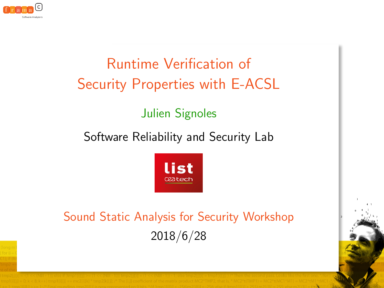

# Runtime Verification of Security Properties with E-ACSL

### Julien Signoles

### Software Reliability and Security Lab



# Sound Static Analysis for Security Workshop 2018/6/28

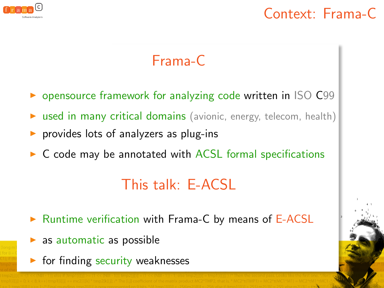

### Context: Frama-C

# Frama-C

- **D** opensource framework for analyzing code written in ISO C99
- $\triangleright$  used in many critical domains (avionic, energy, telecom, health)
- $\triangleright$  provides lots of analyzers as plug-ins
- $\triangleright$  C code may be annotated with ACSL formal specifications

# This talk: E-ACSL

- $\triangleright$  Runtime verification with Frama-C by means of E-ACSL
- as automatic as possible
- $\triangleright$  for finding security weaknesses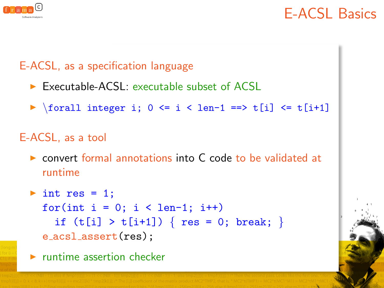

### E-ACSL Basics

#### E-ACSL, as a specification language

- $\triangleright$  Executable-ACSL: executable subset of ACSL
- $\triangleright$  \forall integer i; 0 <= i < len-1 ==> t[i] <= t[i+1]

#### E-ACSL, as a tool

 $\triangleright$  convert formal annotations into C code to be validated at runtime

```
\triangleright int res = 1;
  for(int i = 0; i < len-1; i++)
    if (t[i] > t[i+1]) { res = 0; break; }
  e_acsl_assert(res);
```
 $\blacktriangleright$  runtime assertion checker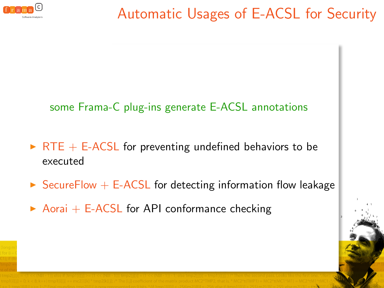

# Automatic Usages of E-ACSL for Security

#### some Frama-C plug-ins generate E-ACSL annotations

- $\triangleright$  RTE + E-ACSL for preventing undefined behaviors to be executed
- $\triangleright$  SecureFlow  $+$  E-ACSL for detecting information flow leakage
- $\triangleright$  Aorai + E-ACSL for API conformance checking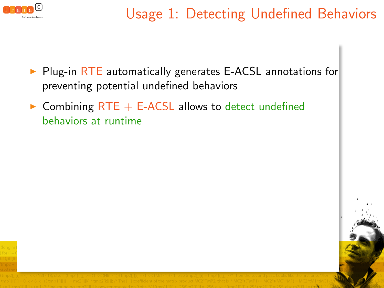

- $\triangleright$  Plug-in RTE automatically generates E-ACSL annotations for preventing potential undefined behaviors
- $\triangleright$  Combining RTE + E-ACSL allows to detect undefined behaviors at runtime

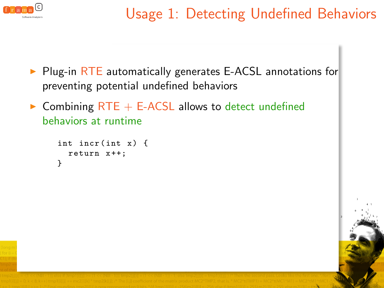

- $\triangleright$  Plug-in RTE automatically generates E-ACSL annotations for preventing potential undefined behaviors
- $\triangleright$  Combining RTE + E-ACSL allows to detect undefined behaviors at runtime

```
int incr (int x) {
  return x ++;
}
```
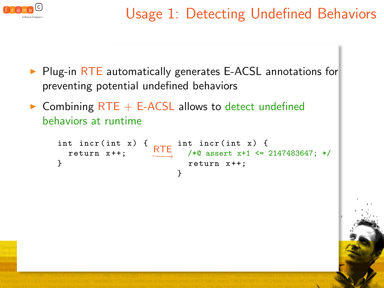

- $\triangleright$  Plug-in RTE automatically generates E-ACSL annotations for preventing potential undefined behaviors
- $\triangleright$  Combining RTE + E-ACSL allows to detect undefined behaviors at runtime

```
int incr ( int x) {
  return x ++;
}
                        int incr ( int x) {
                   RTE \rightarrow 1.01 (1.0 m)
                          return x ++;
                        }
```
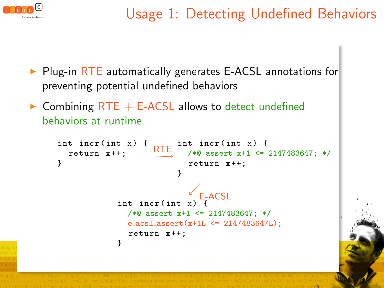

- $\triangleright$  Plug-in RTE automatically generates E-ACSL annotations for preventing potential undefined behaviors
- $\triangleright$  Combining RTE + E-ACSL allows to detect undefined behaviors at runtime

```
int incr ( int x) {
  return x ++;
}
                         int incr ( int x) {
                    RTE \rightarrow 1.01 (1.0 m)
                           return x ++;
                         }
            int incr (int x)
              /*@ assert x+1 <= 2147483647; */
              e acsl assert(x+1L <= 2147483647L);
              return x ++;
            }
                              E-ACSL
```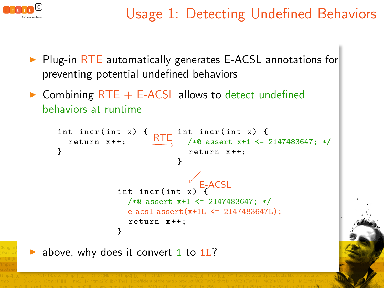

- $\triangleright$  Plug-in RTE automatically generates E-ACSL annotations for preventing potential undefined behaviors
- $\triangleright$  Combining RTE + E-ACSL allows to detect undefined behaviors at runtime

```
int incr ( int x) {
          return x ++;
       }
                                 RTE int incr(int x) {<br>RTE /*0 assert x+1 <=
                                        /*@ assert x+1 <= 2147483647; */
                                          return x ++;
                                       }
                       int incr(int \overline{x}) \overline{F} ACSL
                          /*@ assert x+1 <= 2147483647; */
                          e_acsl_assert(x+1L <= 2147483647L);
                          return x ++;
                       }
ightharpoonup above, why does it convert 1 to 1L?
```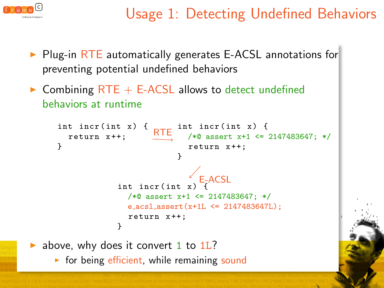

- Plug-in RTE automatically generates E-ACSL annotations for preventing potential undefined behaviors
- $\triangleright$  Combining RTE + E-ACSL allows to detect undefined behaviors at runtime

```
int incr ( int x) {
       return x ++;
    }
                                 int incr ( int x) {
                           /*@ assert x+1 <= 2147483647; */
RTE
                                   return x ++;
                                 }
                  int incr (int x
                     /*@ assert x+1 <= 2147483647; */
                     e acsl assert(x+1L <= 2147483647L);
                     return x ++;
                  }
                                     /<br>、E<sub>-</sub>ACSL
above, why does it convert 1 to 1L?
   \triangleright for being efficient, while remaining sound
```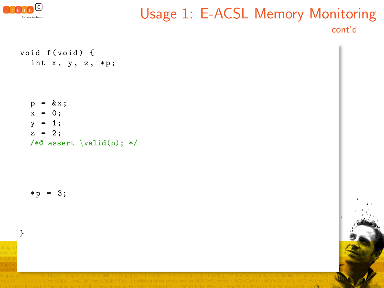

### Usage 1: E-ACSL Memory Monitoring cont'd

void f(void) { int x, y, z, \*p;

> $kx;$  $x = 0$ ;  $v = 1$ :  $z = 2$ ; /\*@ assert  $\valid(p)$ ; \*/

 $*_{p} = 3;$ 

}

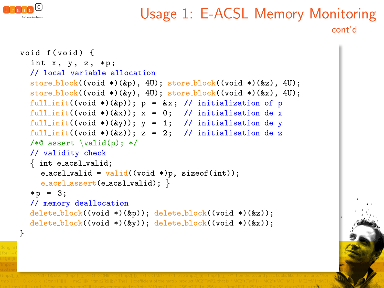

### Usage 1: E-ACSL Memory Monitoring cont'd

```
void f( void ) {
  int x, y, z, *p;
  // local variable allocation
  store_block((void *)(&p), 4U); store_block((void *)(&z), 4U);
  store block((void *)(&y), 4U); store block((void *)(&x), 4U);full_init((void *)(&p)); p = kx; // initialization of p
  full_init((void *)(&x)); x = 0; // initialisation de x
  full_init((void *)(&y)); y = 1; // initialisation de y
  full_init((void *)(&z)); z = 2; // initialisation de z
  /*@ assert \valid(p); */
  // validity check
  { int e acsl valid;
    e_acsl_valid = valid((void *)p, sizeof(int));e_acsl_assert(e_acsl_valid); }
  *_{p} = 3;
  // memory deallocation
  delete_block((void *)(&p)); delete_block((void *)(&z));
  delete_block((void *)(&y)); delete_block((void *)(&x));
}
```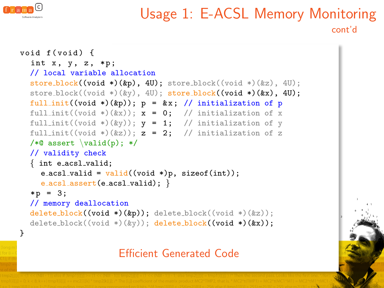

### Usage 1: E-ACSL Memory Monitoring cont'd

```
void f( void ) {
  int x, y, z, *p;
  // local variable allocation
  store_block((void *)(&p), 4U); store_block((void *)(&z), 4U);
  store_block((void *)(\&y), 4U); store_block((void *)(\&x), 4U);
  full_init((void *)(&p)); p = kx; // initialization of p
  full_init((void *)(kx)); x = 0; // initialization of x
  full_init((void *)(&y)); y = 1; // initialization of y
  full_init((void *)(&z)); z = 2; // initialization of z
  /*@ assert \valid(p); */
  // validity check
  { int e acsl valid;
    e_acsl_valid = valid((void *)p, sizeof(int));e_acsl_assert(e_acsl_valid); }
  *_{p} = 3;
  // memory deallocation
  delete\_block((void *)(kp)); delete_block((void *)(kz));delete_block((void *)(&y)); delete_block((void *)(&x));
}
```
#### Efficient Generated Code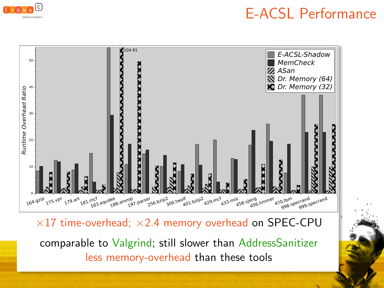

### E-ACSL Performance

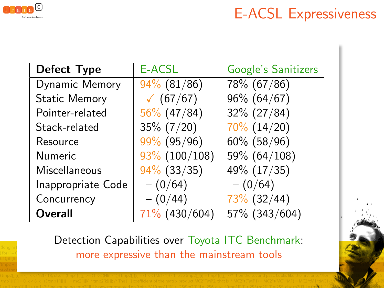

# E-ACSL Expressiveness

| Defect Type          | E-ACSL           | <b>Google's Sanitizers</b> |
|----------------------|------------------|----------------------------|
| Dynamic Memory       | $94\%$ (81/86)   | 78% (67/86)                |
| <b>Static Memory</b> | (67/67)          | $96\%$ (64/67)             |
| Pointer-related      | $56\%$ (47/84)   | $32\%$ (27/84)             |
| Stack-related        | $35\% (7/20)$    | $70\%$ (14/20)             |
| Resource             | $99\%$ (95/96)   | $60\%$ (58/96)             |
| <b>Numeric</b>       | $93\%$ (100/108) | 59% (64/108)               |
| Miscellaneous        | $94\%$ (33/35)   | 49% (17/35)                |
| Inappropriate Code   | $- (0/64)$       | $- (0/64)$                 |
| Concurrency          | $- (0/44)$       | $73\%$ (32/44)             |
| <b>Overall</b>       | $71\%$ (430/604) | 57% (343/604)              |

Detection Capabilities over Toyota ITC Benchmark: more expressive than the mainstream tools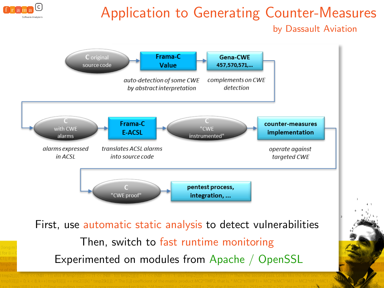

# Application to Generating Counter-Measures

by Dassault Aviation

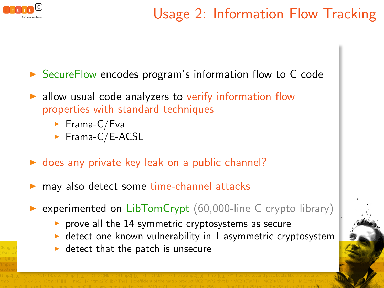

▶ SecureFlow encodes program's information flow to C code

- allow usual code analyzers to verify information flow properties with standard techniques
	- $\blacktriangleright$  Frama-C/Eva
	- $\blacktriangleright$  Frama-C/E-ACSL
- $\triangleright$  does any private key leak on a public channel?
- may also detect some time-channel attacks
- experimented on  $LibTomCrypt$  (60,000-line C crypto library)
	- prove all the 14 symmetric cryptosystems as secure
	- $\triangleright$  detect one known vulnerability in 1 asymmetric cryptosystem
	- $\blacktriangleright$  detect that the patch is unsecure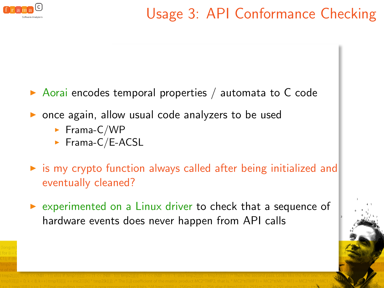

- $\triangleright$  Aorai encodes temporal properties / automata to C code
- $\triangleright$  once again, allow usual code analyzers to be used
	- $\blacktriangleright$  Frama-C/WP
	- $\blacktriangleright$  Frama-C/E-ACSL
- $\triangleright$  is my crypto function always called after being initialized and eventually cleaned?
- $\triangleright$  experimented on a Linux driver to check that a sequence of hardware events does never happen from API calls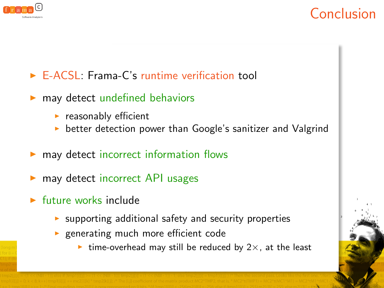

# Conclusion

- $\triangleright$  E-ACSL: Frama-C's runtime verification tool
- $\blacktriangleright$  may detect undefined behaviors
	- $\blacktriangleright$  reasonably efficient
	- better detection power than Google's sanitizer and Valgrind
- may detect incorrect information flows
- may detect incorrect API usages
- $\blacktriangleright$  future works include
	- $\triangleright$  supporting additional safety and security properties
	- $\blacktriangleright$  generating much more efficient code
		- ighthrow time-overhead may still be reduced by  $2\times$ , at the least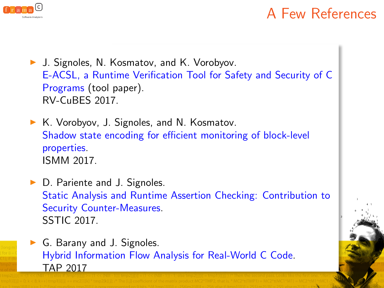

# A Few References

▶ J. Signoles, N. Kosmatov, and K. Vorobyov. E-ACSL, a Runtime Verification Tool for Safety and Security of C Programs (tool paper). RV-CuBES 2017.

 $\triangleright$  K. Vorobyov, J. Signoles, and N. Kosmatov. Shadow state encoding for efficient monitoring of block-level properties. ISMM 2017.

 $\triangleright$  D. Pariente and J. Signoles. Static Analysis and Runtime Assertion Checking: Contribution to Security Counter-Measures. SSTIC 2017.